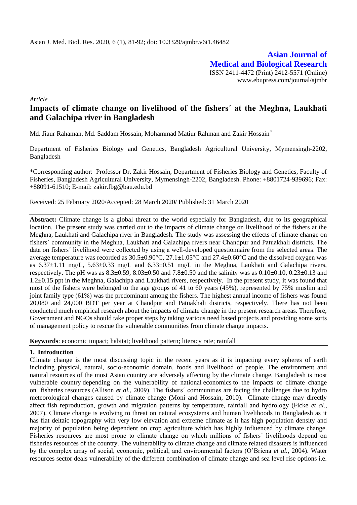**Asian Journal of Medical and Biological Research** ISSN 2411-4472 (Print) 2412-5571 (Online) www.ebupress.com/journal/ajmbr

*Article*

# **Impacts of climate change on livelihood of the fishersˊ at the Meghna, Laukhati and Galachipa river in Bangladesh**

Md. Jiaur Rahaman, Md. Saddam Hossain, Mohammad Matiur Rahman and Zakir Hossain\*

Department of Fisheries Biology and Genetics, Bangladesh Agricultural University, Mymensingh-2202, Bangladesh

\*Corresponding author: Professor Dr. Zakir Hossain, Department of Fisheries Biology and Genetics, Faculty of Fisheries, Bangladesh Agricultural University, Mymensingh-2202, Bangladesh. Phone: +8801724-939696; Fax: +88091-61510; E-mail: [zakir.fbg@bau.edu.bd](mailto:zakir.fbg@bau.edu.bd)

Received: 25 February 2020/Accepted: 28 March 2020/ Published: 31 March 2020

**Abstract:** Climate change is a global threat to the world especially for Bangladesh, due to its geographical location. The present study was carried out to the impacts of climate change on livelihood of the fishers at the Meghna, Laukhati and Galachipa river in Bangladesh. The study was assessing the effects of climate change on fishersˊ community in the Meghna, Laukhati and Galachipa rivers near Chandpur and Patuakhali districts. The data on fishersˊ livelihood were collected by using a well-developed questionnaire from the selected areas. The average temperature was recorded as  $30.5\pm0.90^{\circ}$ C,  $27.1\pm1.05^{\circ}$ C and  $27.4\pm0.60^{\circ}$ C and the dissolved oxygen was as  $6.37\pm1.11$  mg/L,  $5.63\pm0.33$  mg/L and  $6.33\pm0.51$  mg/L in the Meghna, Laukhati and Galachipa rivers, respectively. The pH was as  $8.3\pm0.59$ ,  $8.03\pm0.50$  and  $7.8\pm0.50$  and the salinity was as  $0.10\pm0.10$ ,  $0.23\pm0.13$  and 1.2±0.15 ppt in the Meghna, Galachipa and Laukhati rivers, respectively. In the present study, it was found that most of the fishers were belonged to the age groups of 41 to 60 years (45%), represented by 75% muslim and joint family type (61%) was the predominant among the fishers. The highest annual income of fishers was found 20,080 and 24,000 BDT per year at Chandpur and Patuakhali districts, respectively. There has not been conducted much empirical research about the impacts of climate change in the present research areas. Therefore, Government and NGOs should take proper steps by taking various need based projects and providing some sorts of management policy to rescue the vulnerable communities from climate change impacts.

**Keywords**: economic impact; habitat; livelihood pattern; literacy rate; rainfall

### **1. Introduction**

Climate change is the most discussing topic in the recent years as it is impacting every spheres of earth including physical, natural, socio-economic domain, foods and livelihood of people. The environment and natural resources of the most Asian country are adversely affecting by the climate change. Bangladesh is most vulnerable country depending on the vulnerability of national economics to the impacts of climate change on fisheries resources (Allison *et al.,* 2009). The fishersˊ communities are facing the challenges due to hydro meteorological changes caused by climate change (Moni and Hossain, 2010). Climate change may directly affect fish reproduction, growth and migration patterns by temperature, rainfall and hydrology (Ficke *et al.,* 2007). Climate change is evolving to threat on natural ecosystems and human livelihoods in Bangladesh as it has flat deltaic topography with very low elevation and extreme climate as it has high population density and majority of population being dependent on crop agriculture which has highly influenced by climate change. Fisheries resources are most prone to climate change on which millions of fishersˊ livelihoods depend on fisheries resources of the country. The vulnerability to climate change and climate related disasters is influenced by the complex array of social, economic, political, and environmental factors (O'Briena *et al.,* 2004). Water resources sector deals vulnerability of the different combination of climate change and sea level rise options i.e.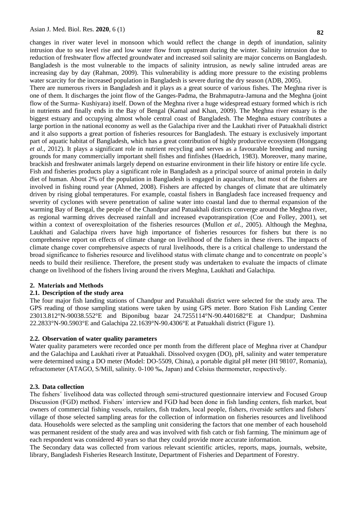changes in river water level in monsoon which would reflect the change in depth of inundation, salinity intrusion due to sea level rise and low water flow from upstream during the winter. Salinity intrusion due to reduction of freshwater flow affected groundwater and increased soil salinity are major concerns on Bangladesh. Bangladesh is the most vulnerable to the impacts of salinity intrusion, as newly saline intruded areas are increasing day by day (Rahman, 2009). This vulnerability is adding more pressure to the existing problems water scarcity for the increased population in Bangladesh is severe during the dry season (ADB, 2005).

There are numerous rivers in Bangladesh and it plays as a great source of various fishes. The Meghna river is one of them. It discharges the joint flow of the Ganges-Padma, the Brahmaputra-Jamuna and the Meghna (joint flow of the Surma- Kushiyara) itself. Down of the Meghna river a huge widespread estuary formed which is rich in nutrients and finally ends in the Bay of Bengal (Kamal and Khan, 2009). The Meghna river estuary is the biggest estuary and occupying almost whole central coast of Bangladesh. The Meghna estuary contributes a large portion in the national economy as well as the Galachipa river and the Laukhati river of Patuakhali district and it also supports a great portion of fisheries resources for Bangladesh. The estuary is exclusively important part of aquatic habitat of Bangladesh, which has a great contribution of highly productive ecosystem (Honggang *et al.,* 2012). It plays a significant role in nutrient recycling and serves as a favourable breeding and nursing grounds for many commercially important shell fishes and finfishes (Haedrich, 1983). Moreover, many marine, brackish and freshwater animals largely depend on estuarine environment in their life history or entire life cycle. Fish and fisheries products play a significant role in Bangladesh as a principal source of animal protein in daily diet of human. About 2% of the population in Bangladesh is engaged in aquaculture, but most of the fishers are involved in fishing round year (Ahmed, 2008). Fishers are affected by changes of climate that are ultimately driven by rising global temperatures. For example, coastal fishers in Bangladesh face increased frequency and severity of cyclones with severe penetration of saline water into coastal land due to thermal expansion of the warming Bay of Bengal, the people of the Chandpur and Patuakhali districts converge around the Meghna river, as regional warming drives decreased rainfall and increased evapotranspiration (Coe and Folley, 2001), set within a context of overexploitation of the fisheries resources (Mullon *et al.,* 2005). Although the Meghna, Laukhati and Galachipa rivers have high importance of fisheries resources for fishers but there is no comprehensive report on effects of climate change on livelihood of the fishers in these rivers. The impacts of climate change cover comprehensive aspects of rural livelihoods, there is a critical challenge to understand the broad significance to fisheries resource and livelihood status with climate change and to concentrate on people's needs to build their resilience. Therefore, the present study was undertaken to evaluate the impacts of climate change on livelihood of the fishers living around the rivers Meghna, Laukhati and Galachipa.

### **2. Materials and Methods**

## **2.1. Description of the study area**

The four major fish landing stations of Chandpur and Patuakhali district were selected for the study area. The GPS reading of those sampling stations were taken by using GPS meter. Boro Station Fish Landing Center 23013.812°N-90038.552°E and Biponibug bazar 24.7255114°N-90.4401682°E at Chandpur; Dashmina 22.2833°N-90.5903°E and Galachipa 22.1639°N-90.4306°E at Patuakhali district (Figure 1).

### **2.2. Observation of water quality parameters**

Water quality parameters were recorded once per month from the different place of Meghna river at Chandpur and the Galachipa and Laukhati river at Patuakhali. Dissolved oxygen (DO), pH, salinity and water temperature were determined using a DO meter (Model: DO-5509, China), a portable digital pH meter (HI 98107, Romania), refractometer (ATAGO, S/Mill, salinity. 0-100 ‰, Japan) and Celsius thermometer, respectively.

### **2.3. Data collection**

The fishersˊ livelihood data was collected through semi-structured questionnaire interview and Focused Group Discussion (FGD) method. Fishersˊ interview and FGD had been done in fish landing centers, fish market, boat owners of commercial fishing vessels, retailers, fish traders, local people, fishers, riverside settlers and fishersˊ village of those selected sampling areas for the collection of information on fisheries resources and livelihood data. Households were selected as the sampling unit considering the factors that one member of each household was permanent resident of the study area and was involved with fish catch or fish farming. The minimum age of each respondent was considered 40 years so that they could provide more accurate information.

The Secondary data was collected from various relevant scientific articles, reports, maps, journals, website, library, Bangladesh Fisheries Research Institute, Department of Fisheries and Department of Forestry.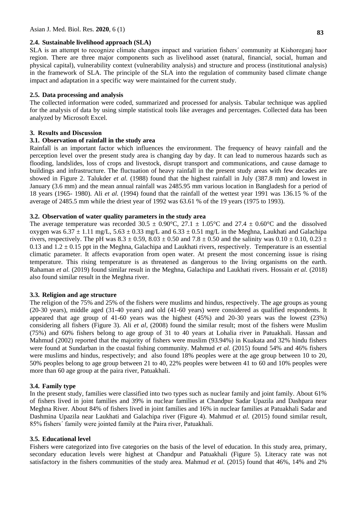#### **2.4. Sustainable livelihood approach (SLA)**

SLA is an attempt to recognize climate changes impact and variation fishersˊ community at Kishoreganj haor region. There are three major components such as livelihood asset (natural, financial, social, human and physical capital), vulnerability context (vulnerability analysis) and structure and process (institutional analysis) in the framework of SLA. The principle of the SLA into the regulation of community based climate change impact and adaptation in a specific way were maintained for the current study.

### **2.5. Data processing and analysis**

The collected information were coded, summarized and processed for analysis. Tabular technique was applied for the analysis of data by using simple statistical tools like averages and percentages. Collected data has been analyzed by Microsoft Excel.

#### **3. Results and Discussion**

### **3.1. Observation of rainfall in the study area**

Rainfall is an important factor which influences the environment. The frequency of heavy rainfall and the perception level over the present study area is changing day by day. It can lead to numerous hazards such as flooding, landslides, loss of crops and livestock, disrupt transport and communications, and cause damage to buildings and infrastructure. The fluctuation of heavy rainfall in the present study areas with few decades are showed in Figure 2. Talukder *et al.* (1988) found that the highest rainfall in July (387.8 mm) and lowest in January (3.6 mm) and the mean annual rainfall was 2485.95 mm various location in Bangladesh for a period of 18 years (1965- 1980). Ali *et al.* (1994) found that the rainfall of the wettest year 1991 was 136.15 % of the average of 2485.5 mm while the driest year of 1992 was 63.61 % of the 19 years (1975 to 1993).

### **3.2. Observation of water quality parameters in the study area**

The average temperature was recorded 30.5  $\pm$  0.90°C, 27.1  $\pm$  1.05°C and 27.4  $\pm$  0.60°C and the dissolved oxygen was  $6.37 \pm 1.11$  mg/L,  $5.63 \pm 0.33$  mg/L and  $6.33 \pm 0.51$  mg/L in the Meghna, Laukhati and Galachipa rivers, respectively. The pH was  $8.3 \pm 0.59$ ,  $8.03 \pm 0.50$  and  $7.8 \pm 0.50$  and the salinity was  $0.10 \pm 0.10$ ,  $0.23 \pm 0.50$ 0.13 and  $1.2 \pm 0.15$  ppt in the Meghna, Galachipa and Laukhati rivers, respectively. Temperature is an essential climatic parameter. It affects evaporation from open water. At present the most concerning issue is rising temperature. This rising temperature is as threatened as dangerous to the living organisms on the earth. Rahaman *et al.* (2019) found similar result in the Meghna, Galachipa and Laukhati rivers. Hossain *et al.* (2018) also found similar result in the Meghna river.

#### **3.3. Religion and age structure**

The religion of the 75% and 25% of the fishers were muslims and hindus, respectively. The age groups as young (20-30 years), middle aged (31-40 years) and old (41-60 years) were considered as qualified respondents. It appeared that age group of 41-60 years was the highest (45%) and 20-30 years was the lowest (23%) considering all fishers (Figure 3). Ali *et al,* (2008) found the similar result; most of the fishers were Muslim (75%) and 60% fishers belong to age group of 31 to 40 years at Lohalia river in Patuakhali. Hassan and Mahmud (2002) reported that the majority of fishers were muslim (93.94%) in Kuakata and 32% hindu fishers were found at Sundarban in the coastal fishing community. Mahmud *et al.* (2015) found 54% and 46% fishers were muslims and hindus, respectively; and also found 18% peoples were at the age group between 10 to 20, 50% peoples belong to age group between 21 to 40, 22% peoples were between 41 to 60 and 10% peoples were more than 60 age group at the paira river, Patuakhali.

#### **3.4. Family type**

In the present study, families were classified into two types such as nuclear family and joint family. About 61% of fishers lived in joint families and 39% in nuclear families at Chandpur Sadar Upazila and Dashpara near Meghna River. About 84% of fishers lived in joint families and 16% in nuclear families at Patuakhali Sadar and Dashmina Upazila near Laukhati and Galachipa river (Figure 4). Mahmud *et al.* (2015) found similar result, 85% fishersˊ family were jointed family at the Paira river, Patuakhali.

#### **3.5. Educational level**

Fishers were categorized into five categories on the basis of the level of education. In this study area, primary, secondary education levels were highest at Chandpur and Patuakhali (Figure 5). Literacy rate was not satisfactory in the fishers communities of the study area. Mahmud *et al.* (2015) found that 46%, 14% and 2%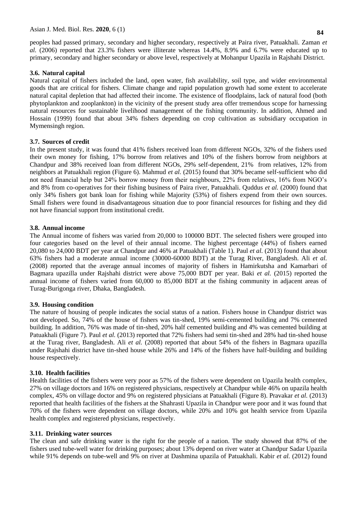peoples had passed primary, secondary and higher secondary, respectively at Paira river, Patuakhali. Zaman *et al.* (2006) reported that 23.3% fishers were illiterate whereas 14.4%, 8.9% and 6.7% were educated up to primary, secondary and higher secondary or above level, respectively at Mohanpur Upazila in Rajshahi District.

### **3.6. Natural capital**

Natural capital of fishers included the land, open water, fish availability, soil type, and wider environmental goods that are critical for fishers. Climate change and rapid population growth had some extent to accelerate natural capital depletion that had affected their income. The existence of floodplains, lack of natural food (both phytoplankton and zooplankton) in the vicinity of the present study area offer tremendous scope for harnessing natural resources for sustainable livelihood management of the fishing community. In addition, Ahmed and Hossain (1999) found that about 34% fishers depending on crop cultivation as subsidiary occupation in Mymensingh region.

### **3.7. Sources of credit**

In the present study, it was found that 41% fishers received loan from different NGOs, 32% of the fishers used their own money for fishing, 17% borrow from relatives and 10% of the fishers borrow from neighbors at Chandpur and 38% received loan from different NGOs, 29% self-dependent, 21% from relatives, 12% from neighbors at Patuakhali region (Figure 6). Mahmud *et al.* (2015) found that 30% became self-sufficient who did not need financial help but 24% borrow money from their neighbours, 22% from relatives, 16% from NGO's and 8% from co-operatives for their fishing business of Paira river, Patuakhali. Quddus *et al.* (2000) found that only 34% fishers got bank loan for fishing while Majority (53%) of fishers expend from their own sources. Small fishers were found in disadvantageous situation due to poor financial resources for fishing and they did not have financial support from institutional credit.

### **3.8. Annual income**

The Annual income of fishers was varied from 20,000 to 100000 BDT. The selected fishers were grouped into four categories based on the level of their annual income. The highest percentage (44%) of fishers earned 20,080 to 24,000 BDT per year at Chandpur and 46% at Patuakhali (Table 1). Paul *et al.* (2013) found that about 63% fishers had a moderate annual income (30000-60000 BDT) at the Turag River, Bangladesh. Ali *et al.* (2008) reported that the average annual incomes of majority of fishers in Hamirkutsha and Kamarbari of Bagmara upazilla under Rajshahi district were above 75,000 BDT per year. Baki *et al.* (2015) reported the annual income of fishers varied from 60,000 to 85,000 BDT at the fishing community in adjacent areas of Turag-Burigonga river, Dhaka, Bangladesh.

### **3.9. Housing condition**

The nature of housing of people indicates the social status of a nation. Fishers house in Chandpur district was not developed. So, 74% of the house of fishers was tin-shed, 19% semi-cemented building and 7% cemented building. In addition, 76% was made of tin-shed, 20% half cemented building and 4% was cemented building at Patuakhali (Figure 7). Paul *et al.* (2013) reported that 72% fishers had semi tin-shed and 28% had tin-shed house at the Turag river, Bangladesh. Ali *et al.* (2008) reported that about 54% of the fishers in Bagmara upazilla under Rajshahi district have tin-shed house while 26% and 14% of the fishers have half-building and building house respectively.

### **3.10. Health facilities**

Health facilities of the fishers were very poor as 57% of the fishers were dependent on Upazila health complex, 27% on village doctors and 16% on registered physicians, respectively at Chandpur while 46% on upazila health complex, 45% on village doctor and 9% on registered physicians at Patuakhali (Figure 8). Pravakar *et al.* (2013) reported that health facilities of the fishers at the Shahrasti Upazila in Chandpur were poor and it was found that 70% of the fishers were dependent on village doctors, while 20% and 10% got health service from Upazila health complex and registered physicians, respectively.

### **3.11. Drinking water sources**

The clean and safe drinking water is the right for the people of a nation. The study showed that 87% of the fishers used tube-well water for drinking purposes; about 13% depend on river water at Chandpur Sadar Upazila while 91% depends on tube-well and 9% on river at Dashmina upazila of Patuakhali. Kabir *et al.* (2012) found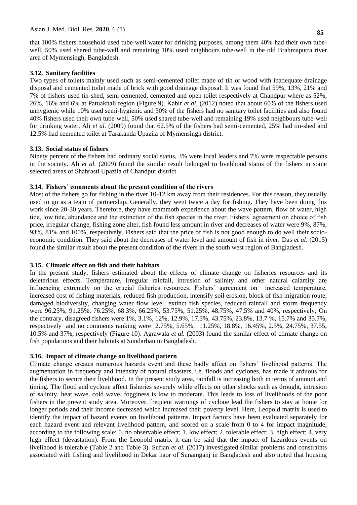that 100% fishers household used tube-well water for drinking purposes, among them 40% had their own tubewell, 50% used shared tube-well and remaining 10% used neighbours tube-well in the old Brahmaputra river area of Mymensingh, Bangladesh.

# **3.12. Sanitary facilities**

Two types of toilets mainly used such as semi-cemented toilet made of tin or wood with inadequate drainage disposal and cemented toilet made of brick with good drainage disposal. It was found that 59%, 13%, 21% and 7% of fishers used tin-shed, semi-cemented, cemented and open toilet respectively at Chandpur where as 52%, 26%, 16% and 6% at Patuakhali region (Figure 9). Kabir *et al.* (2012) noted that about 60% of the fishers used unhygienic while 10% used semi-hygienic and 30% of the fishers had no sanitary toilet facilities and also found 40% fishers used their own tube-well, 50% used shared tube-well and remaining 19% used neighbours tube-well for drinking water. Ali *et al.* (2009) found that 62.5% of the fishers had semi-cemented, 25% had tin-shed and 12.5% had cemented toilet at Tarakanda Upazila of Mymensingh district.

# **3.13. Social status of fishers**

Ninety percent of the fishers had ordinary social status, 3% were local leaders and 7% were respectable persons in the society. Ali *et al.* (2009) found the similar result belonged to livelihood status of the fishers in some selected areas of Shahrasti Upazila of Chandpur district.

# **3.14. Fishersˊ comments about the present condition of the rivers**

Most of the fishers go for fishing in the river 10-12 km away from their residences. For this reason, they usually used to go as a team of partnership. Generally, they went twice a day for fishing. They have been doing this work since 20-30 years. Therefore, they have mammoth experience about the wave pattern, flow of water, high tide, low tide, abundance and the extinction of the fish species in the river. Fishersˊ agreement on choice of fish price, irregular change, fishing zone alter, fish found less amount in river and decreases of water were 9%, 87%, 93%, 81% and 100%, respectively. Fishers said that the price of fish is not good enough to do well their socioeconomic condition. They said about the decreases of water level and amount of fish in river. Das *et al.* (2015) found the similar result about the present condition of the rivers in the south west region of Bangladesh.

# **3.15. Climatic effect on fish and their habitats**

In the present study, fishers estimated about the effects of climate change on fisheries resources and its deleterious effects. Temperature, irregular rainfall, intrusion of salinity and other natural calamity are influencing extremely on the crucial fisheries resources. Fishersˊ agreement on increased temperature, increased cost of fishing materials, reduced fish production, intensify soil erosion, block of fish migration route, damaged biodiversity, changing water flow level, extinct fish species, reduced rainfall and storm frequency were 96.25%, 91.25%, 76.25%, 68.3%, 66.25%, 53.75%, 51.25%, 48.75%, 47.5% and 40%, respectively; On the contrary, disagreed fishers were 1%, 3.1%, 12%, 12.9%, 17.3%, 43.75%, 23.8%, 13.7 %, 15.7% and 35.7%, respectively and no comments ranking were 2.75%, 5.65%, 11.25%, 18.8%, 16.45%, 2.5%, 24.75%, 37.55, 10.5% and 37%, respectively (Figure 10). Agrawala *et al.* (2003) found the similar effect of climate change on fish populations and their habitats at Sundarban in Bangladesh.

# **3.16. Impact of climate change on livelihood pattern**

Climate change creates numerous hazards event and these badly affect on fishersˊ livelihood patterns. The augmentation in frequency and intensity of natural disasters, i.e. floods and cyclones, has made it arduous for the fishers to secure their livelihood. In the present study area, rainfall is increasing both in terms of amount and timing. The flood and cyclone affect fisheries severely while effects on other shocks such as drought, intrusion of salinity, heat wave, cold wave, fogginess is low to moderate. This leads to loss of livelihoods of the poor fishers in the present study area. Moreover, frequent warnings of cyclone lead the fishers to stay at home for longer periods and their income decreased which increased their poverty level. Here, Leopold matrix is used to identify the impact of hazard events on livelihood patterns. Impact factors have been evaluated separately for each hazard event and relevant livelihood pattern, and scored on a scale from 0 to 4 for impact magnitude, according to the following scale: 0. no observable effect; 1. low effect; 2. tolerable effect; 3. high effect; 4. very high effect (devastation). From the Leopold matrix it can be said that the impact of hazardous events on livelihood is tolerable (Table 2 and Table 3). Sufian *et al.* (2017) investigated similar problems and constraints associated with fishing and livelihood in Dekar haor of Sunamganj in Bangladesh and also noted that housing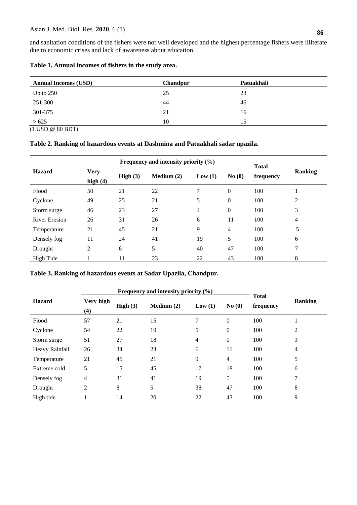and sanitation conditions of the fishers were not well developed and the highest percentage fishers were illiterate due to economic crises and lack of awareness about education.

| Table 1. Annual incomes of fishers in the study area. |  |
|-------------------------------------------------------|--|
|                                                       |  |

| <b>Annual Incomes (USD)</b> | <b>Chandpur</b> | Patuakhali |  |
|-----------------------------|-----------------|------------|--|
| Up to $250$                 | 25              | 23         |  |
| 251-300                     | 44              | 46         |  |
| 301-375                     | 21              | 16         |  |
| >625                        | 10              | 15         |  |

(1 USD @ 80 BDT)

# **Table 2. Ranking of hazardous events at Dashmina and Patuakhali sadar upazila.**

| Frequency and intensity priority $(\% )$ |                           |            |              |        |                  |                           |                |  |
|------------------------------------------|---------------------------|------------|--------------|--------|------------------|---------------------------|----------------|--|
| <b>Hazard</b>                            | <b>Very</b><br>high $(4)$ | High $(3)$ | Medium $(2)$ | Low(1) | No(0)            | <b>Total</b><br>frequency | <b>Ranking</b> |  |
| Flood                                    | 50                        | 21         | 22           | 7      | $\boldsymbol{0}$ | 100                       |                |  |
| Cyclone                                  | 49                        | 25         | 21           | 5      | 0                | 100                       | 2              |  |
| Storm surge                              | 46                        | 23         | 27           | 4      | 0                | 100                       | 3              |  |
| <b>River Erosion</b>                     | 26                        | 31         | 26           | 6      | 11               | 100                       | 4              |  |
| Temperature                              | 21                        | 45         | 21           | 9      | 4                | 100                       | 5              |  |
| Densely fog                              | 11                        | 24         | 41           | 19     | 5                | 100                       | 6              |  |
| Drought                                  | 2                         | 6          | 5            | 40     | 47               | 100                       | 7              |  |
| High Tide                                |                           | 11         | 23           | 22     | 43               | 100                       | 8              |  |

# **Table 3. Ranking of hazardous events at Sadar Upazila, Chandpur.**

|                | Frequency and intensity priority (%) |            |            |        |                |                           |                |
|----------------|--------------------------------------|------------|------------|--------|----------------|---------------------------|----------------|
| <b>Hazard</b>  | Very high<br>(4)                     | High $(3)$ | Median (2) | Low(1) | No(0)          | <b>Total</b><br>frequency | <b>Ranking</b> |
| Flood          | 57                                   | 21         | 15         | 7      | $\mathbf{0}$   | 100                       |                |
| Cyclone        | 54                                   | 22         | 19         | 5      | $\theta$       | 100                       | 2              |
| Storm surge    | 51                                   | 27         | 18         | 4      | $\mathbf{0}$   | 100                       | 3              |
| Heavy Rainfall | 26                                   | 34         | 23         | 6      | 11             | 100                       | 4              |
| Temperature    | 21                                   | 45         | 21         | 9      | $\overline{4}$ | 100                       | 5              |
| Extreme cold   | 5                                    | 15         | 45         | 17     | 18             | 100                       | 6              |
| Densely fog    | $\overline{4}$                       | 31         | 41         | 19     | 5              | 100                       | 7              |
| Drought        | 2                                    | 8          | 5          | 38     | 47             | 100                       | 8              |
| High tide      |                                      | 14         | 20         | 22     | 43             | 100                       | 9              |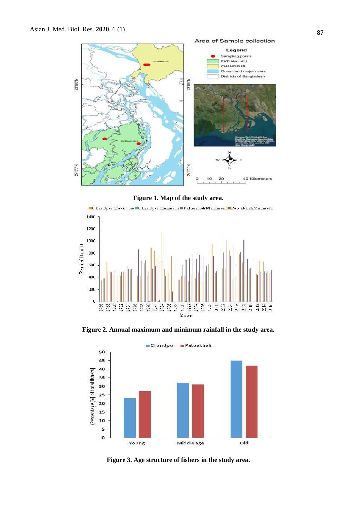

**Figure 1. Map of the study area.** 



**Figure 2. Annual maximum and minimum rainfall in the study area.**



**Figure 3. Age structure of fishers in the study area.**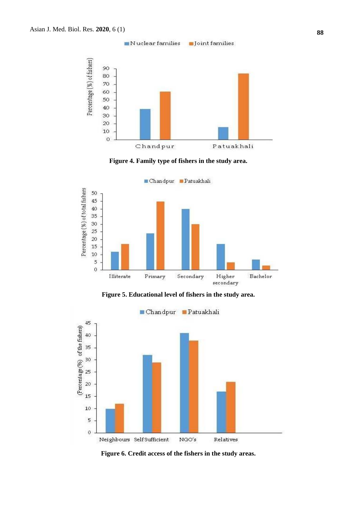

**Figure 4. Family type of fishers in the study area.**



**Figure 5. Educational level of fishers in the study area.**



**Figure 6. Credit access of the fishers in the study areas.**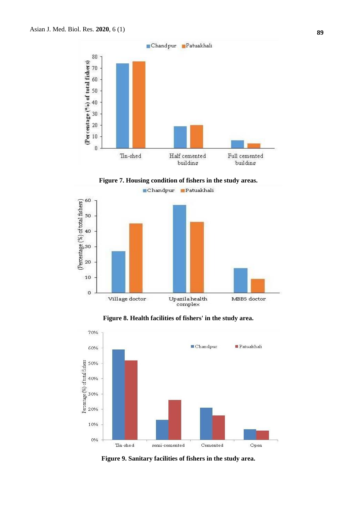









**Figure 9. Sanitary facilities of fishers in the study area.**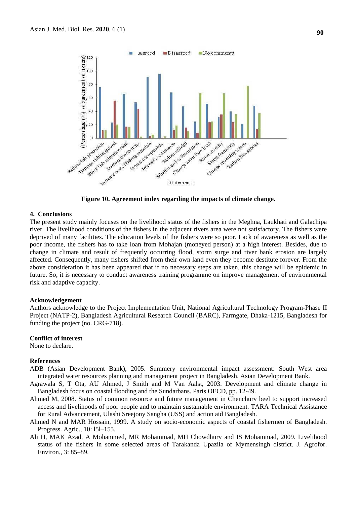

**Figure 10. Agreement index regarding the impacts of climate change.**

#### **4. Conclusions**

The present study mainly focuses on the livelihood status of the fishers in the Meghna, Laukhati and Galachipa river. The livelihood conditions of the fishers in the adjacent rivers area were not satisfactory. The fishers were deprived of many facilities. The education levels of the fishers were so poor. Lack of awareness as well as the poor income, the fishers has to take loan from Mohajan (moneyed person) at a high interest. Besides, due to change in climate and result of frequently occurring flood, storm surge and river bank erosion are largely affected. Consequently, many fishers shifted from their own land even they become destitute forever. From the above consideration it has been appeared that if no necessary steps are taken, this change will be epidemic in future. So, it is necessary to conduct awareness training programme on improve management of environmental risk and adaptive capacity.

#### **Acknowledgement**

Authors acknowledge to the Project Implementation Unit, National Agricultural Technology Program-Phase II Project (NATP-2), Bangladesh Agricultural Research Council (BARC), Farmgate, Dhaka-1215, Bangladesh for funding the project (no. CRG-718).

#### **Conflict of interest**

None to declare.

#### **References**

- ADB (Asian Development Bank), 2005. Summery environmental impact assessment: South West area integrated water resources planning and management project in Bangladesh. Asian Development Bank.
- Agrawala S, T Ota, AU Ahmed, J Smith and M Van Aalst, 2003. Development and climate change in Bangladesh focus on coastal flooding and the Sundarbans. Paris OECD, pp. 12-49.
- Ahmed M, 2008. Status of common resource and future management in Chenchury beel to support increased access and livelihoods of poor people and to maintain sustainable environment. TARA Technical Assistance for Rural Advancement, Ulashi Sreejony Sangha (USS) and action aid Bangladesh.
- Ahmed N and MAR Hossain, 1999. A study on socio-economic aspects of coastal fishermen of Bangladesh. Progress. Agric., 10: l5l–155.
- Ali H, MAK Azad, A Mohammed, MR Mohammad, MH Chowdhury and IS Mohammad, 2009. Livelihood status of the fishers in some selected areas of Tarakanda Upazila of Mymensingh district. J. Agrofor. Environ., 3: 85–89.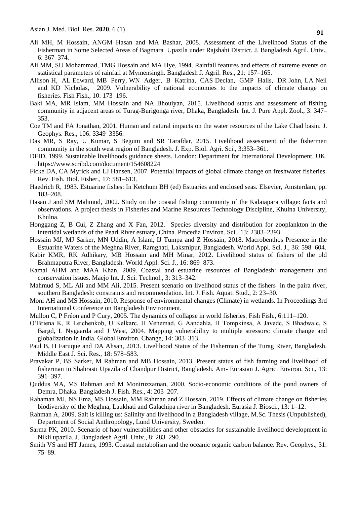- Ali MH, M Hossain, ANGM Hasan and MA Bashar, 2008. Assessment of the Livelihood Status of the Fisherman in Some Selected Areas of Bagmara Upazila under Rajshahi District. J. Bangladesh Agril. Univ., 6: 367–374.
- Ali MM, SU Mohammad, TMG Hossain and MA Hye, 1994. Rainfall features and effects of extreme events on statistical parameters of rainfall at Mymensingh. Bangladesh J. Agril. Res., 21: 157–165.
- Allison H, AL Edward, MB Perry, WN Adger, B Katrina, CAS Declan, GMP Halls, DR John, LA Neil and KD Nicholas, 2009. Vulnerability of national economies to the impacts of climate change on fisheries. Fish Fish., 10: 173–196.
- Baki MA, MR Islam, MM Hossain and NA Bhouiyan, 2015. Livelihood status and assessment of fishing community in adjacent areas of Turag-Burigonga river, Dhaka, Bangladesh. Int. J. Pure Appl. Zool., 3: 347– 353.
- Coe TM and FA Jonathan, 2001. Human and natural impacts on the water resources of the Lake Chad basin. J. Geophys. Res., 106: 3349–3356.
- Das MR, S Ray, U Kumar, S Begum and SR Tarafdar, 2015. Livelihood assessment of the fishermen community in the south west region of Bangladesh. J. Exp. Biol. Agri. Sci., 3:353–361.
- DFID, 1999. Sustainable livelihoods guidance sheets. London: Department for International Development, UK. https://www.scribd.com/document/154608224
- Ficke DA, CA Myrick and LJ Hansen, 2007. Potential impacts of global climate change on freshwater fisheries. Rev. Fish. Biol. Fisher., 17: 581–613.
- Haedrich R, 1983. Estuarine fishes: In Ketchum BH (ed) Estuaries and enclosed seas. Elsevier, Amsterdam, pp. 183–208.
- Hasan J and SM Mahmud, 2002. Study on the coastal fishing community of the Kalaiapara village: facts and observations. A project thesis in Fisheries and Marine Resources Technology Discipline, Khulna University, Khulna.
- Honggang Z, B Cui, Z Zhang and X Fan, 2012. Species diversity and distribution for zooplankton in the intertidal wetlands of the Pearl River estuary, China. Procedia Environ. Sci., 13: 2383–2393.
- Hossain MJ, MJ Sarker, MN Uddin, A Islam, IJ Tumpa and Z Hossain, 2018. Macrobenthos Presence in the Estuarine Waters of the Meghna River, Ramghati, Laksmipur, Bangladesh. World Appl. Sci. J., 36: 598–604.
- Kabir KMR, RK Adhikary, MB Hossain and MH Minar, 2012. Livelihood status of fishers of the old Brahmaputra River, Bangladesh. World Appl. Sci. J., 16: 869–873.
- Kamal AHM and MAA Khan, 2009. Coastal and estuarine resources of Bangladesh: management and conservation issues. Maejo Int. J. Sci. Technol., 3: 313–342.
- Mahmud S, ML Ali and MM Ali, 2015. Present scenario on livelihood status of the fishers in the paira river, southern Bangladesh: constraints and recommendation. Int. J. Fish. Aquat. Stud., 2: 23–30.
- Moni AH and MS Hossain, 2010. Response of environmental changes (Climate) in wetlands. In Proceedings 3rd International Conference on Bangladesh Environment.
- Mullon C, P Fréon and P Cury, 2005. The dynamics of collapse in world fisheries. Fish Fish., 6:111–120.
- O'Briena K, R Leichenkob, U Kelkarc, H Venemad, G Aandahla, H Tompkinsa, A Javedc, S Bhadwalc, S Bargd, L Nygaarda and J West, 2004. Mapping vulnerability to multiple stressors: climate change and globalization in India. Global Environ. Change, 14: 303–313.
- Paul B, H Faruque and DA Ahsan, 2013. Livelihood Status of the Fisherman of the Turag River, Bangladesh. Middle East J. Sci. Res., 18: 578–583.
- Pravakar P, BS Sarker, M Rahman and MB Hossain, 2013. Present status of fish farming and livelihood of fisherman in Shahrasti Upazila of Chandpur District, Bangladesh. Am- Eurasian J. Agric. Environ. Sci., 13: 391–397.
- Quddus MA, MS Rahman and M Moniruzzaman, 2000. Socio-economic conditions of the pond owners of Demra, Dhaka. Bangladesh J. Fish. Res., 4: 203–207.
- Rahaman MJ, NS Ema, MS Hossain, MM Rahman and Z Hossain, 2019. Effects of climate change on fisheries biodiversity of the Meghna, Laukhati and Galachipa river in Bangladesh. Eurasia J. Biosci., 13: 1–12.
- Rahman A, 2009. Salt is killing us: Salinity and livelihood in a Bangladesh village, M.Sc. Thesis (Unpublished), Department of Social Anthropology, Lund University, Sweden.
- Sarma PK, 2010. Scenario of haor vulnerabilities and other obstacles for sustainable livelihood development in Nikli upazila. J. Bangladesh Agril. Univ., 8: 283–290.
- Smith VS and HT James, 1993. Coastal metabolism and the oceanic organic carbon balance. Rev. Geophys., 31: 75–89.